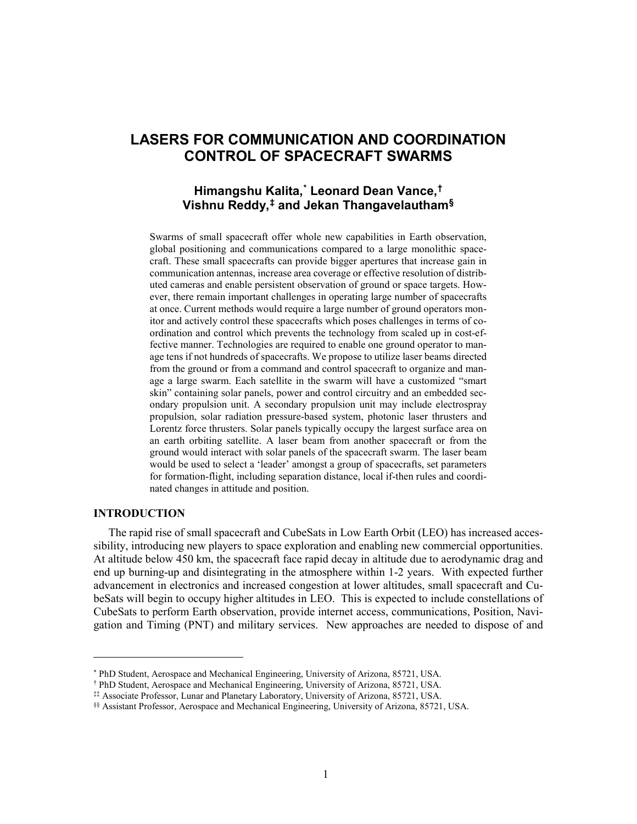# **LASERS FOR COMMUNICATION AND COORDINATION CONTROL OF SPACECRAFT SWARMS**

## **Himangshu Kalita, [\\*](#page-0-0) Leonard Dean Vance, [†](#page-0-1) Vishnu Reddy,[‡](#page-0-2) and Jekan Thangavelautham[§](#page-0-3)**

Swarms of small spacecraft offer whole new capabilities in Earth observation, global positioning and communications compared to a large monolithic spacecraft. These small spacecrafts can provide bigger apertures that increase gain in communication antennas, increase area coverage or effective resolution of distributed cameras and enable persistent observation of ground or space targets. However, there remain important challenges in operating large number of spacecrafts at once. Current methods would require a large number of ground operators monitor and actively control these spacecrafts which poses challenges in terms of coordination and control which prevents the technology from scaled up in cost-effective manner. Technologies are required to enable one ground operator to manage tens if not hundreds of spacecrafts. We propose to utilize laser beams directed from the ground or from a command and control spacecraft to organize and manage a large swarm. Each satellite in the swarm will have a customized "smart skin" containing solar panels, power and control circuitry and an embedded secondary propulsion unit. A secondary propulsion unit may include electrospray propulsion, solar radiation pressure-based system, photonic laser thrusters and Lorentz force thrusters. Solar panels typically occupy the largest surface area on an earth orbiting satellite. A laser beam from another spacecraft or from the ground would interact with solar panels of the spacecraft swarm. The laser beam would be used to select a 'leader' amongst a group of spacecrafts, set parameters for formation-flight, including separation distance, local if-then rules and coordinated changes in attitude and position.

### **INTRODUCTION**

 $\overline{a}$ 

The rapid rise of small spacecraft and CubeSats in Low Earth Orbit (LEO) has increased accessibility, introducing new players to space exploration and enabling new commercial opportunities. At altitude below 450 km, the spacecraft face rapid decay in altitude due to aerodynamic drag and end up burning-up and disintegrating in the atmosphere within 1-2 years. With expected further advancement in electronics and increased congestion at lower altitudes, small spacecraft and CubeSats will begin to occupy higher altitudes in LEO. This is expected to include constellations of CubeSats to perform Earth observation, provide internet access, communications, Position, Navigation and Timing (PNT) and military services. New approaches are needed to dispose of and

<sup>\*</sup> PhD Student, Aerospace and Mechanical Engineering, University of Arizona, 85721, USA.

<span id="page-0-2"></span><span id="page-0-1"></span><span id="page-0-0"></span><sup>†</sup> PhD Student, Aerospace and Mechanical Engineering, University of Arizona, 85721, USA.

<sup>‡‡</sup> Associate Professor, Lunar and Planetary Laboratory, University of Arizona, 85721, USA.

<span id="page-0-3"></span><sup>§§</sup> Assistant Professor, Aerospace and Mechanical Engineering, University of Arizona, 85721, USA.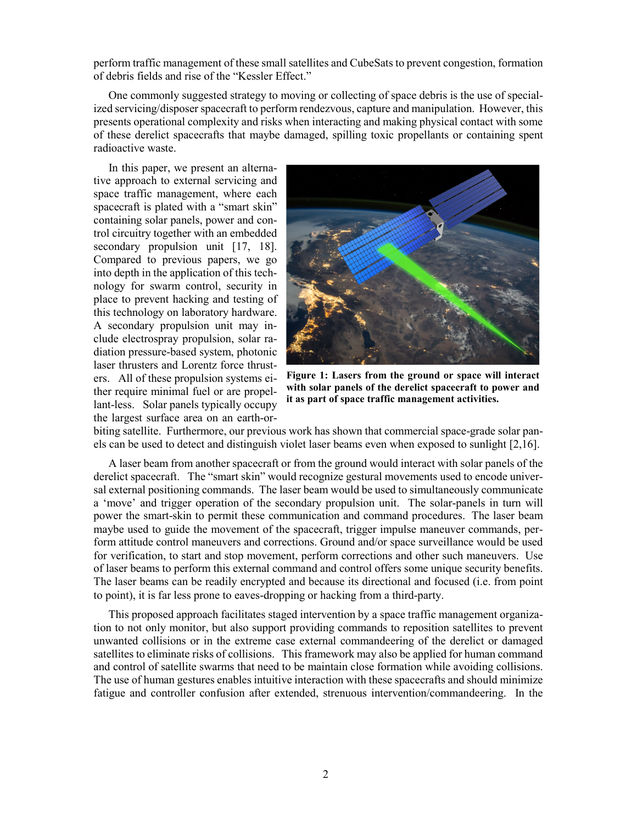perform traffic management of these small satellites and CubeSats to prevent congestion, formation of debris fields and rise of the "Kessler Effect."

One commonly suggested strategy to moving or collecting of space debris is the use of specialized servicing/disposer spacecraft to perform rendezvous, capture and manipulation. However, this presents operational complexity and risks when interacting and making physical contact with some of these derelict spacecrafts that maybe damaged, spilling toxic propellants or containing spent radioactive waste.

In this paper, we present an alternative approach to external servicing and space traffic management, where each spacecraft is plated with a "smart skin" containing solar panels, power and control circuitry together with an embedded secondary propulsion unit [17, 18]. Compared to previous papers, we go into depth in the application of this technology for swarm control, security in place to prevent hacking and testing of this technology on laboratory hardware. A secondary propulsion unit may include electrospray propulsion, solar radiation pressure-based system, photonic laser thrusters and Lorentz force thrusters. All of these propulsion systems either require minimal fuel or are propellant-less. Solar panels typically occupy the largest surface area on an earth-or-



**Figure 1: Lasers from the ground or space will interact with solar panels of the derelict spacecraft to power and it as part of space traffic management activities.**

biting satellite. Furthermore, our previous work has shown that commercial space-grade solar panels can be used to detect and distinguish violet laser beams even when exposed to sunlight [2,16].

A laser beam from another spacecraft or from the ground would interact with solar panels of the derelict spacecraft. The "smart skin" would recognize gestural movements used to encode universal external positioning commands. The laser beam would be used to simultaneously communicate a 'move' and trigger operation of the secondary propulsion unit. The solar-panels in turn will power the smart-skin to permit these communication and command procedures. The laser beam maybe used to guide the movement of the spacecraft, trigger impulse maneuver commands, perform attitude control maneuvers and corrections. Ground and/or space surveillance would be used for verification, to start and stop movement, perform corrections and other such maneuvers. Use of laser beams to perform this external command and control offers some unique security benefits. The laser beams can be readily encrypted and because its directional and focused (i.e. from point to point), it is far less prone to eaves-dropping or hacking from a third-party.

This proposed approach facilitates staged intervention by a space traffic management organization to not only monitor, but also support providing commands to reposition satellites to prevent unwanted collisions or in the extreme case external commandeering of the derelict or damaged satellites to eliminate risks of collisions. This framework may also be applied for human command and control of satellite swarms that need to be maintain close formation while avoiding collisions. The use of human gestures enables intuitive interaction with these spacecrafts and should minimize fatigue and controller confusion after extended, strenuous intervention/commandeering. In the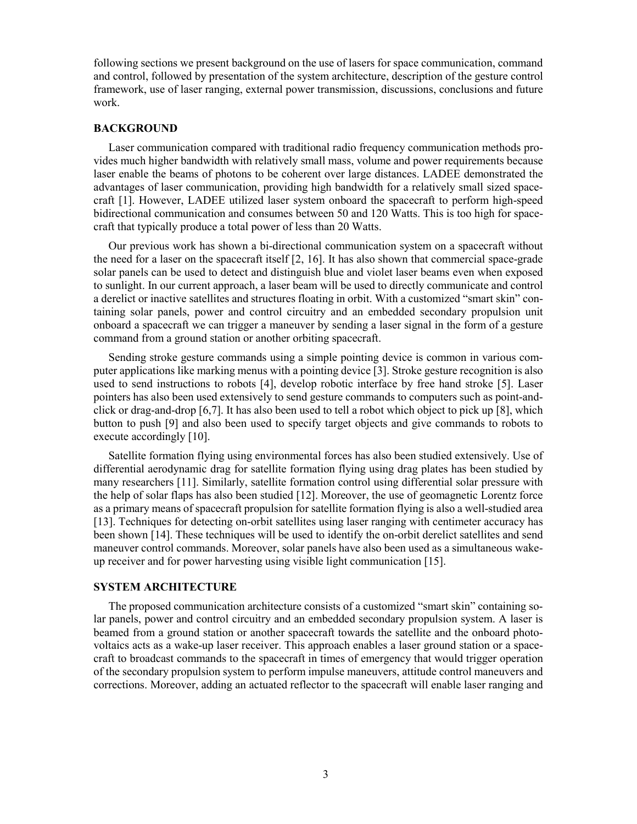following sections we present background on the use of lasers for space communication, command and control, followed by presentation of the system architecture, description of the gesture control framework, use of laser ranging, external power transmission, discussions, conclusions and future work.

## **BACKGROUND**

Laser communication compared with traditional radio frequency communication methods provides much higher bandwidth with relatively small mass, volume and power requirements because laser enable the beams of photons to be coherent over large distances. LADEE demonstrated the advantages of laser communication, providing high bandwidth for a relatively small sized spacecraft [1]. However, LADEE utilized laser system onboard the spacecraft to perform high-speed bidirectional communication and consumes between 50 and 120 Watts. This is too high for spacecraft that typically produce a total power of less than 20 Watts.

Our previous work has shown a bi-directional communication system on a spacecraft without the need for a laser on the spacecraft itself [2, 16]. It has also shown that commercial space-grade solar panels can be used to detect and distinguish blue and violet laser beams even when exposed to sunlight. In our current approach, a laser beam will be used to directly communicate and control a derelict or inactive satellites and structures floating in orbit. With a customized "smart skin" containing solar panels, power and control circuitry and an embedded secondary propulsion unit onboard a spacecraft we can trigger a maneuver by sending a laser signal in the form of a gesture command from a ground station or another orbiting spacecraft.

Sending stroke gesture commands using a simple pointing device is common in various computer applications like marking menus with a pointing device [3]. Stroke gesture recognition is also used to send instructions to robots [4], develop robotic interface by free hand stroke [5]. Laser pointers has also been used extensively to send gesture commands to computers such as point-andclick or drag-and-drop [6,7]. It has also been used to tell a robot which object to pick up [8], which button to push [9] and also been used to specify target objects and give commands to robots to execute accordingly [10].

Satellite formation flying using environmental forces has also been studied extensively. Use of differential aerodynamic drag for satellite formation flying using drag plates has been studied by many researchers [11]. Similarly, satellite formation control using differential solar pressure with the help of solar flaps has also been studied [12]. Moreover, the use of geomagnetic Lorentz force as a primary means of spacecraft propulsion for satellite formation flying is also a well-studied area [13]. Techniques for detecting on-orbit satellites using laser ranging with centimeter accuracy has been shown [14]. These techniques will be used to identify the on-orbit derelict satellites and send maneuver control commands. Moreover, solar panels have also been used as a simultaneous wakeup receiver and for power harvesting using visible light communication [15].

## **SYSTEM ARCHITECTURE**

The proposed communication architecture consists of a customized "smart skin" containing solar panels, power and control circuitry and an embedded secondary propulsion system. A laser is beamed from a ground station or another spacecraft towards the satellite and the onboard photovoltaics acts as a wake-up laser receiver. This approach enables a laser ground station or a spacecraft to broadcast commands to the spacecraft in times of emergency that would trigger operation of the secondary propulsion system to perform impulse maneuvers, attitude control maneuvers and corrections. Moreover, adding an actuated reflector to the spacecraft will enable laser ranging and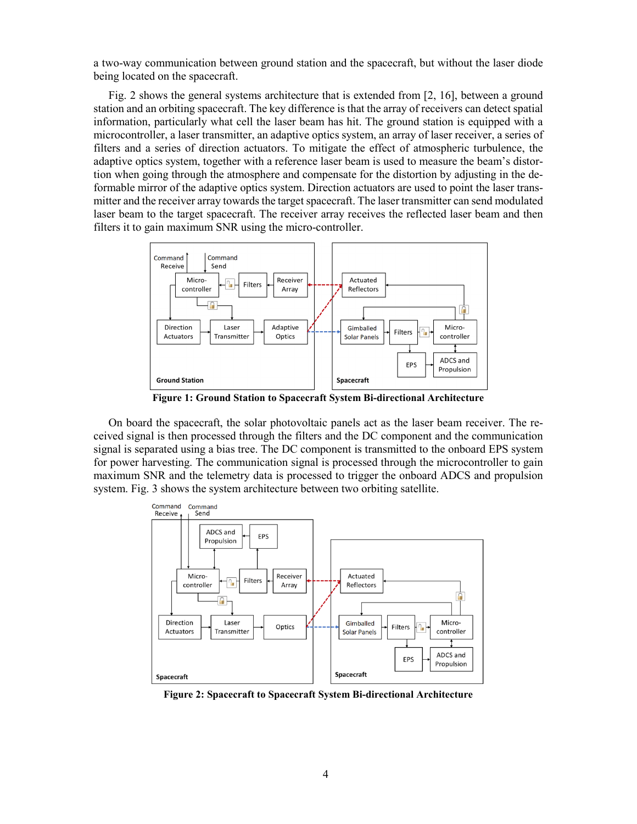a two-way communication between ground station and the spacecraft, but without the laser diode being located on the spacecraft.

Fig. 2 shows the general systems architecture that is extended from [2, 16], between a ground station and an orbiting spacecraft. The key difference is that the array of receivers can detect spatial information, particularly what cell the laser beam has hit. The ground station is equipped with a microcontroller, a laser transmitter, an adaptive optics system, an array of laser receiver, a series of filters and a series of direction actuators. To mitigate the effect of atmospheric turbulence, the adaptive optics system, together with a reference laser beam is used to measure the beam's distortion when going through the atmosphere and compensate for the distortion by adjusting in the deformable mirror of the adaptive optics system. Direction actuators are used to point the laser transmitter and the receiver array towards the target spacecraft. The laser transmitter can send modulated laser beam to the target spacecraft. The receiver array receives the reflected laser beam and then filters it to gain maximum SNR using the micro-controller.



 **Figure 1: Ground Station to Spacecraft System Bi-directional Architecture**

On board the spacecraft, the solar photovoltaic panels act as the laser beam receiver. The received signal is then processed through the filters and the DC component and the communication signal is separated using a bias tree. The DC component is transmitted to the onboard EPS system for power harvesting. The communication signal is processed through the microcontroller to gain maximum SNR and the telemetry data is processed to trigger the onboard ADCS and propulsion system. Fig. 3 shows the system architecture between two orbiting satellite.



 **Figure 2: Spacecraft to Spacecraft System Bi-directional Architecture**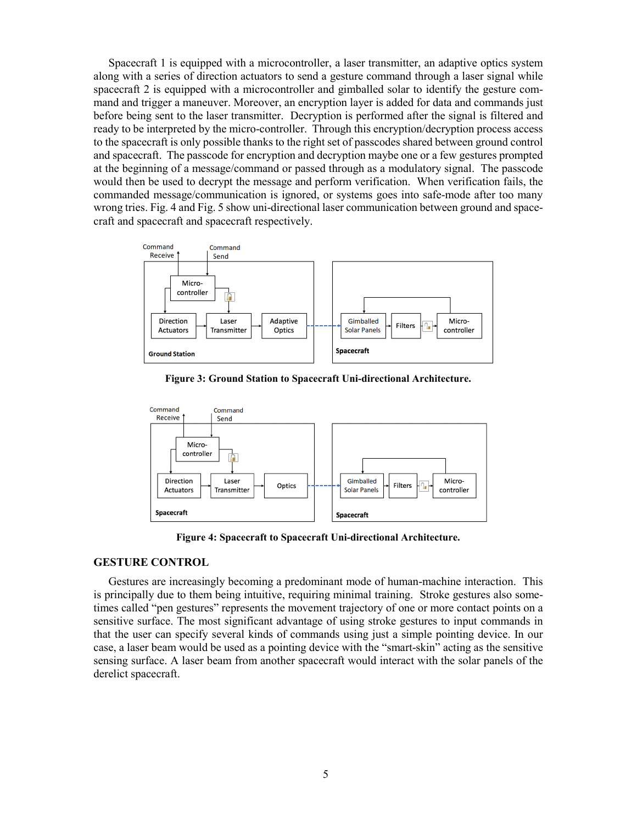Spacecraft 1 is equipped with a microcontroller, a laser transmitter, an adaptive optics system along with a series of direction actuators to send a gesture command through a laser signal while spacecraft 2 is equipped with a microcontroller and gimballed solar to identify the gesture command and trigger a maneuver. Moreover, an encryption layer is added for data and commands just before being sent to the laser transmitter. Decryption is performed after the signal is filtered and ready to be interpreted by the micro-controller. Through this encryption/decryption process access to the spacecraft is only possible thanks to the right set of passcodes shared between ground control and spacecraft. The passcode for encryption and decryption maybe one or a few gestures prompted at the beginning of a message/command or passed through as a modulatory signal. The passcode would then be used to decrypt the message and perform verification. When verification fails, the commanded message/communication is ignored, or systems goes into safe-mode after too many wrong tries. Fig. 4 and Fig. 5 show uni-directional laser communication between ground and spacecraft and spacecraft and spacecraft respectively.



 **Figure 3: Ground Station to Spacecraft Uni-directional Architecture.**



 **Figure 4: Spacecraft to Spacecraft Uni-directional Architecture.**

#### **GESTURE CONTROL**

Gestures are increasingly becoming a predominant mode of human-machine interaction. This is principally due to them being intuitive, requiring minimal training. Stroke gestures also sometimes called "pen gestures" represents the movement trajectory of one or more contact points on a sensitive surface. The most significant advantage of using stroke gestures to input commands in that the user can specify several kinds of commands using just a simple pointing device. In our case, a laser beam would be used as a pointing device with the "smart-skin" acting as the sensitive sensing surface. A laser beam from another spacecraft would interact with the solar panels of the derelict spacecraft.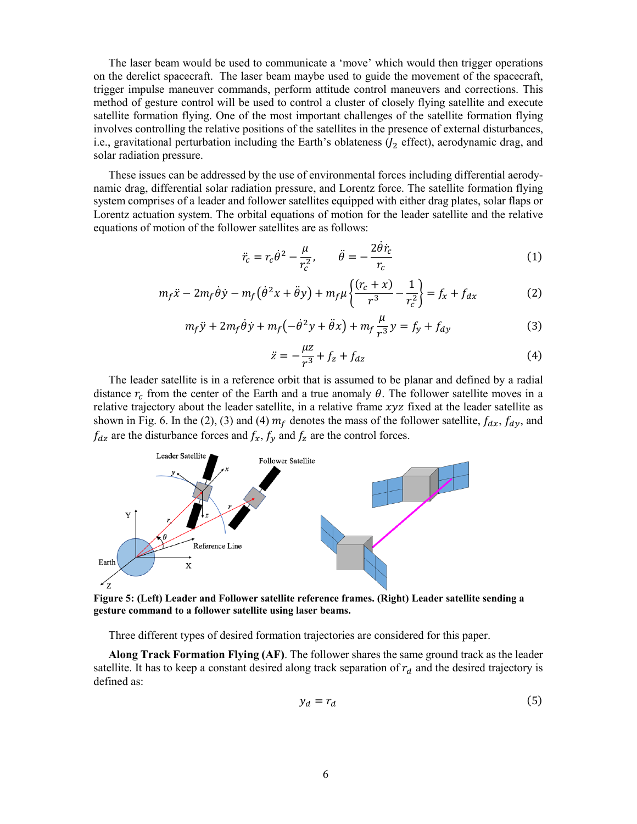The laser beam would be used to communicate a 'move' which would then trigger operations on the derelict spacecraft. The laser beam maybe used to guide the movement of the spacecraft, trigger impulse maneuver commands, perform attitude control maneuvers and corrections. This method of gesture control will be used to control a cluster of closely flying satellite and execute satellite formation flying. One of the most important challenges of the satellite formation flying involves controlling the relative positions of the satellites in the presence of external disturbances, i.e., gravitational perturbation including the Earth's oblateness  $(J_2 \text{ effect})$ , aerodynamic drag, and solar radiation pressure.

These issues can be addressed by the use of environmental forces including differential aerodynamic drag, differential solar radiation pressure, and Lorentz force. The satellite formation flying system comprises of a leader and follower satellites equipped with either drag plates, solar flaps or Lorentz actuation system. The orbital equations of motion for the leader satellite and the relative equations of motion of the follower satellites are as follows:

$$
\ddot{r}_c = r_c \dot{\theta}^2 - \frac{\mu}{r_c^2}, \qquad \ddot{\theta} = -\frac{2\dot{\theta}\dot{r}_c}{r_c}
$$
 (1)

$$
m_f \ddot{x} - 2m_f \dot{\theta} \dot{y} - m_f (\dot{\theta}^2 x + \ddot{\theta} y) + m_f \mu \left\{ \frac{(r_c + x)}{r^3} - \frac{1}{r_c^2} \right\} = f_x + f_{dx}
$$
 (2)

$$
m_f \ddot{y} + 2m_f \dot{\theta} \dot{y} + m_f \left( -\dot{\theta}^2 y + \ddot{\theta} x \right) + m_f \frac{\mu}{r^3} y = f_y + f_{dy}
$$
 (3)

$$
\ddot{z} = -\frac{\mu z}{r^3} + f_z + f_{dz} \tag{4}
$$

The leader satellite is in a reference orbit that is assumed to be planar and defined by a radial distance  $r_c$  from the center of the Earth and a true anomaly  $\theta$ . The follower satellite moves in a relative trajectory about the leader satellite, in a relative frame  $xyz$  fixed at the leader satellite as shown in Fig. 6. In the (2), (3) and (4)  $m_f$  denotes the mass of the follower satellite,  $f_{dx}$ ,  $f_{dy}$ , and  $f_{dz}$  are the disturbance forces and  $f_x$ ,  $f_y$  and  $f_z$  are the control forces.



**gesture command to a follower satellite using laser beams.**

Three different types of desired formation trajectories are considered for this paper.

**Along Track Formation Flying (AF)**. The follower shares the same ground track as the leader satellite. It has to keep a constant desired along track separation of  $r_d$  and the desired trajectory is defined as:

$$
y_d = r_d \tag{5}
$$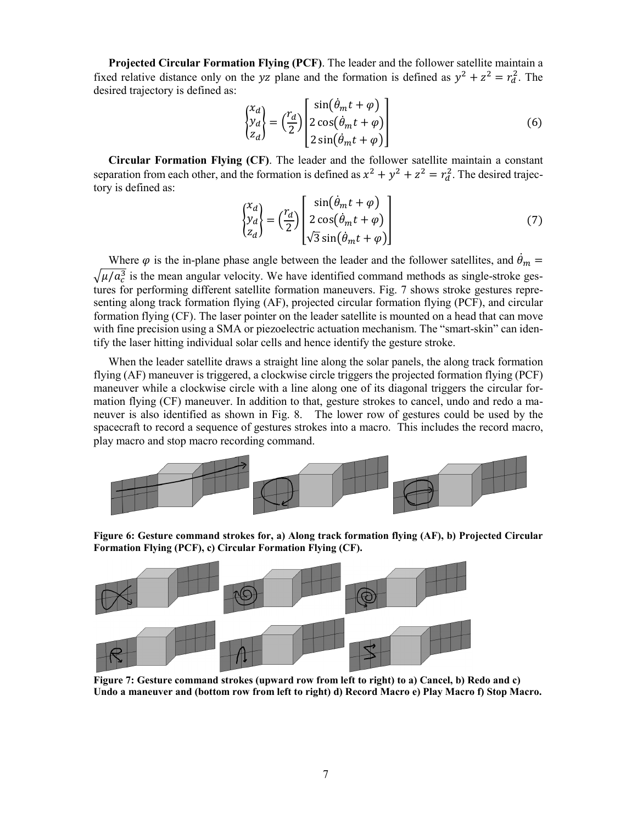**Projected Circular Formation Flying (PCF)**. The leader and the follower satellite maintain a fixed relative distance only on the yz plane and the formation is defined as  $y^2 + z^2 = r_d^2$ . The desired trajectory is defined as:

$$
\begin{pmatrix} x_d \\ y_d \\ z_d \end{pmatrix} = \left(\frac{r_d}{2}\right) \begin{pmatrix} \sin(\theta_m t + \varphi) \\ 2\cos(\theta_m t + \varphi) \\ 2\sin(\theta_m t + \varphi) \end{pmatrix}
$$
 (6)

**Circular Formation Flying (CF)**. The leader and the follower satellite maintain a constant separation from each other, and the formation is defined as  $x^2 + y^2 + z^2 = r_d^2$ . The desired trajectory is defined as:

$$
\begin{pmatrix} x_d \\ y_d \\ z_d \end{pmatrix} = \left(\frac{r_d}{2}\right) \begin{pmatrix} \sin(\theta_m t + \varphi) \\ 2\cos(\theta_m t + \varphi) \\ \sqrt{3}\sin(\theta_m t + \varphi) \end{pmatrix}
$$
 (7)

Where  $\varphi$  is the in-plane phase angle between the leader and the follower satellites, and  $\theta_m =$  $\sqrt{\mu/a_c^3}$  is the mean angular velocity. We have identified command methods as single-stroke gestures for performing different satellite formation maneuvers. Fig. 7 shows stroke gestures representing along track formation flying (AF), projected circular formation flying (PCF), and circular formation flying (CF). The laser pointer on the leader satellite is mounted on a head that can move with fine precision using a SMA or piezoelectric actuation mechanism. The "smart-skin" can identify the laser hitting individual solar cells and hence identify the gesture stroke.

When the leader satellite draws a straight line along the solar panels, the along track formation flying (AF) maneuver is triggered, a clockwise circle triggers the projected formation flying (PCF) maneuver while a clockwise circle with a line along one of its diagonal triggers the circular formation flying (CF) maneuver. In addition to that, gesture strokes to cancel, undo and redo a maneuver is also identified as shown in Fig. 8. The lower row of gestures could be used by the spacecraft to record a sequence of gestures strokes into a macro. This includes the record macro, play macro and stop macro recording command.



**Figure 6: Gesture command strokes for, a) Along track formation flying (AF), b) Projected Circular Formation Flying (PCF), c) Circular Formation Flying (CF).**



 **Figure 7: Gesture command strokes (upward row from left to right) to a) Cancel, b) Redo and c) Undo a maneuver and (bottom row from left to right) d) Record Macro e) Play Macro f) Stop Macro.**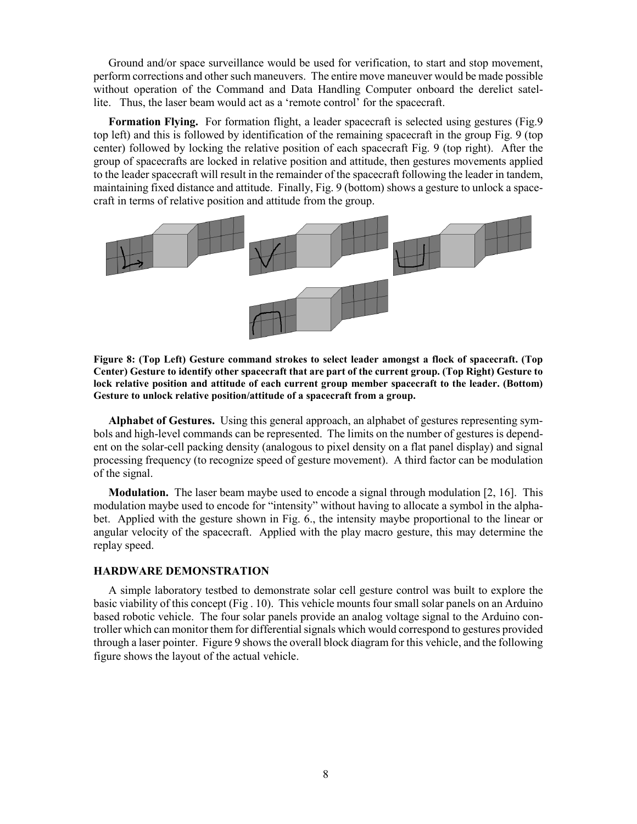Ground and/or space surveillance would be used for verification, to start and stop movement, perform corrections and other such maneuvers. The entire move maneuver would be made possible without operation of the Command and Data Handling Computer onboard the derelict satellite. Thus, the laser beam would act as a 'remote control' for the spacecraft.

**Formation Flying.** For formation flight, a leader spacecraft is selected using gestures (Fig.9 top left) and this is followed by identification of the remaining spacecraft in the group Fig. 9 (top center) followed by locking the relative position of each spacecraft Fig. 9 (top right). After the group of spacecrafts are locked in relative position and attitude, then gestures movements applied to the leader spacecraft will result in the remainder of the spacecraft following the leader in tandem, maintaining fixed distance and attitude. Finally, Fig. 9 (bottom) shows a gesture to unlock a spacecraft in terms of relative position and attitude from the group.



**Figure 8: (Top Left) Gesture command strokes to select leader amongst a flock of spacecraft. (Top Center) Gesture to identify other spacecraft that are part of the current group. (Top Right) Gesture to lock relative position and attitude of each current group member spacecraft to the leader. (Bottom) Gesture to unlock relative position/attitude of a spacecraft from a group.**

**Alphabet of Gestures.** Using this general approach, an alphabet of gestures representing symbols and high-level commands can be represented. The limits on the number of gestures is dependent on the solar-cell packing density (analogous to pixel density on a flat panel display) and signal processing frequency (to recognize speed of gesture movement). A third factor can be modulation of the signal.

**Modulation.** The laser beam maybe used to encode a signal through modulation [2, 16]. This modulation maybe used to encode for "intensity" without having to allocate a symbol in the alphabet. Applied with the gesture shown in Fig. 6., the intensity maybe proportional to the linear or angular velocity of the spacecraft. Applied with the play macro gesture, this may determine the replay speed.

#### **HARDWARE DEMONSTRATION**

A simple laboratory testbed to demonstrate solar cell gesture control was built to explore the basic viability of this concept (Fig . 10). This vehicle mounts four small solar panels on an Arduino based robotic vehicle. The four solar panels provide an analog voltage signal to the Arduino controller which can monitor them for differential signals which would correspond to gestures provided through a laser pointer. Figure 9 shows the overall block diagram for this vehicle, and the following figure shows the layout of the actual vehicle.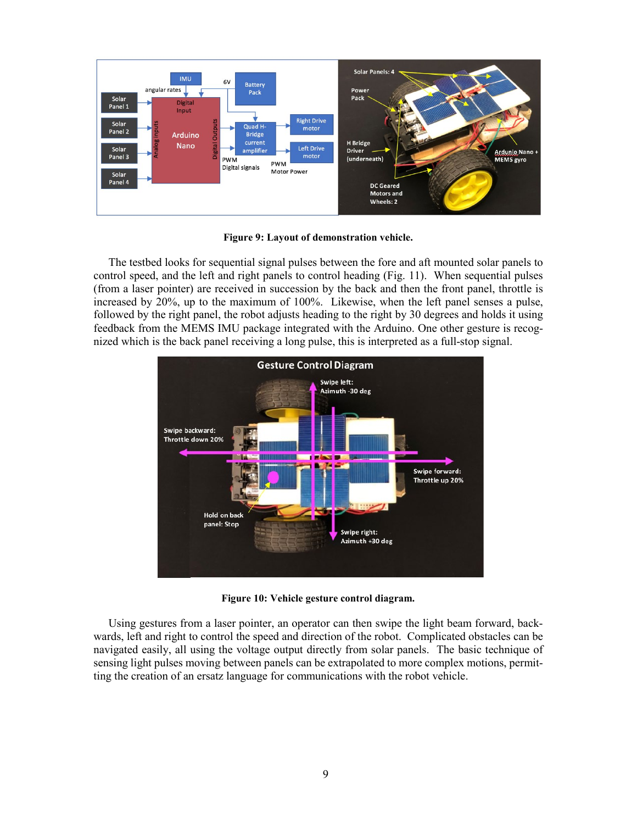

**Figure 9: Layout of demonstration vehicle.**

The testbed looks for sequential signal pulses between the fore and aft mounted solar panels to control speed, and the left and right panels to control heading (Fig. 11). When sequential pulses (from a laser pointer) are received in succession by the back and then the front panel, throttle is increased by 20%, up to the maximum of 100%. Likewise, when the left panel senses a pulse, followed by the right panel, the robot adjusts heading to the right by 30 degrees and holds it using feedback from the MEMS IMU package integrated with the Arduino. One other gesture is recognized which is the back panel receiving a long pulse, this is interpreted as a full-stop signal.



**Figure 10: Vehicle gesture control diagram.**

Using gestures from a laser pointer, an operator can then swipe the light beam forward, backwards, left and right to control the speed and direction of the robot. Complicated obstacles can be navigated easily, all using the voltage output directly from solar panels. The basic technique of sensing light pulses moving between panels can be extrapolated to more complex motions, permitting the creation of an ersatz language for communications with the robot vehicle.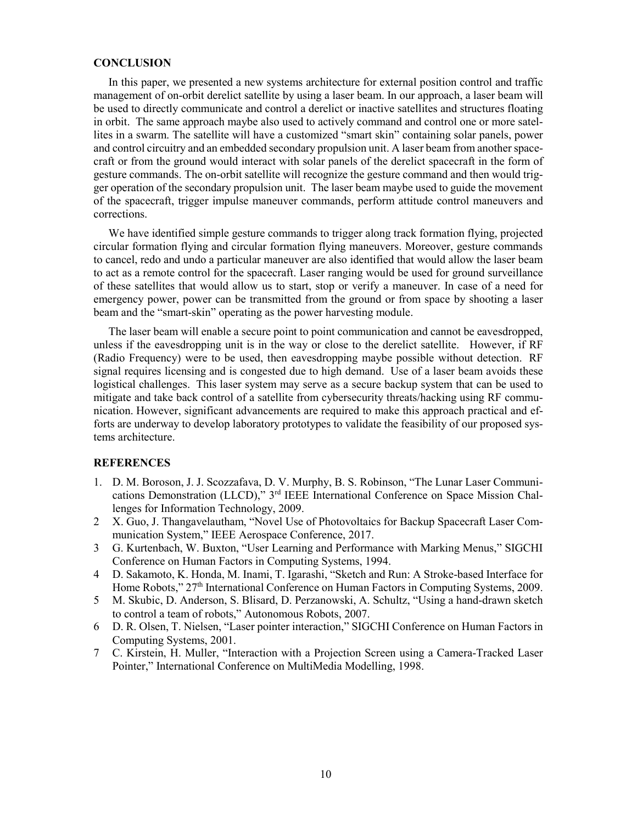#### **CONCLUSION**

In this paper, we presented a new systems architecture for external position control and traffic management of on-orbit derelict satellite by using a laser beam. In our approach, a laser beam will be used to directly communicate and control a derelict or inactive satellites and structures floating in orbit. The same approach maybe also used to actively command and control one or more satellites in a swarm. The satellite will have a customized "smart skin" containing solar panels, power and control circuitry and an embedded secondary propulsion unit. A laser beam from another spacecraft or from the ground would interact with solar panels of the derelict spacecraft in the form of gesture commands. The on-orbit satellite will recognize the gesture command and then would trigger operation of the secondary propulsion unit. The laser beam maybe used to guide the movement of the spacecraft, trigger impulse maneuver commands, perform attitude control maneuvers and corrections.

We have identified simple gesture commands to trigger along track formation flying, projected circular formation flying and circular formation flying maneuvers. Moreover, gesture commands to cancel, redo and undo a particular maneuver are also identified that would allow the laser beam to act as a remote control for the spacecraft. Laser ranging would be used for ground surveillance of these satellites that would allow us to start, stop or verify a maneuver. In case of a need for emergency power, power can be transmitted from the ground or from space by shooting a laser beam and the "smart-skin" operating as the power harvesting module.

The laser beam will enable a secure point to point communication and cannot be eavesdropped, unless if the eavesdropping unit is in the way or close to the derelict satellite. However, if RF (Radio Frequency) were to be used, then eavesdropping maybe possible without detection. RF signal requires licensing and is congested due to high demand. Use of a laser beam avoids these logistical challenges. This laser system may serve as a secure backup system that can be used to mitigate and take back control of a satellite from cybersecurity threats/hacking using RF communication. However, significant advancements are required to make this approach practical and efforts are underway to develop laboratory prototypes to validate the feasibility of our proposed systems architecture.

## **REFERENCES**

- 1. D. M. Boroson, J. J. Scozzafava, D. V. Murphy, B. S. Robinson, "The Lunar Laser Communications Demonstration (LLCD)," 3rd IEEE International Conference on Space Mission Challenges for Information Technology, 2009.
- 2 X. Guo, J. Thangavelautham, "Novel Use of Photovoltaics for Backup Spacecraft Laser Communication System," IEEE Aerospace Conference, 2017.
- 3 G. Kurtenbach, W. Buxton, "User Learning and Performance with Marking Menus," SIGCHI Conference on Human Factors in Computing Systems, 1994.
- 4 D. Sakamoto, K. Honda, M. Inami, T. Igarashi, "Sketch and Run: A Stroke-based Interface for Home Robots," 27<sup>th</sup> International Conference on Human Factors in Computing Systems, 2009.
- 5 M. Skubic, D. Anderson, S. Blisard, D. Perzanowski, A. Schultz, "Using a hand-drawn sketch to control a team of robots," Autonomous Robots, 2007.
- 6 D. R. Olsen, T. Nielsen, "Laser pointer interaction," SIGCHI Conference on Human Factors in Computing Systems, 2001.
- 7 C. Kirstein, H. Muller, "Interaction with a Projection Screen using a Camera-Tracked Laser Pointer," International Conference on MultiMedia Modelling, 1998.